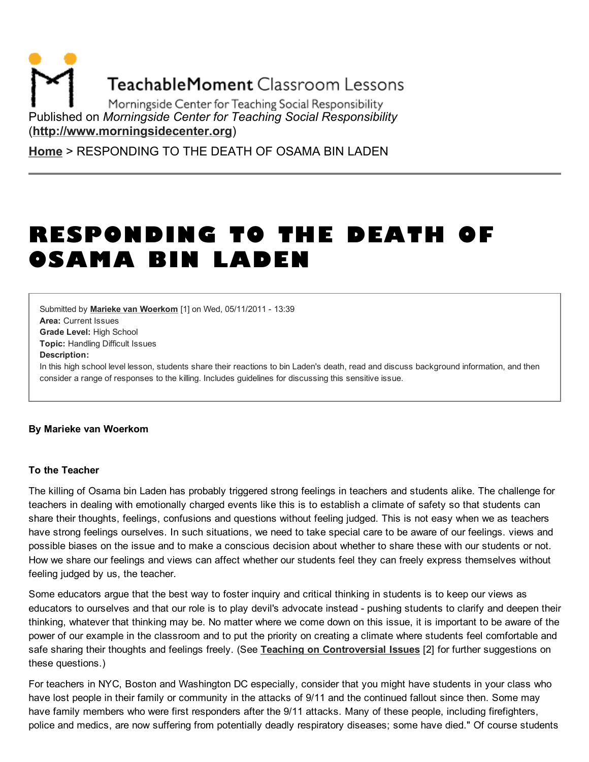**TeachableMoment Classroom Lessons** 

Morningside Center for Teaching Social Responsibility Published on *Morningside Center for Teaching Social Responsibility* [\(http://www.morningsidecenter.org\)](http://www.morningsidecenter.org/)

[Home](http://www.morningsidecenter.org/) > RESPONDING TO THE DEATH OF OSAMA BIN LADEN

# RESPONDING TO THE DEATH OF OSAMA BIN LADEN

Area: Current Issues Grade Level: High School Topic: Handling Difficult Issues Submitted by Marieke van [Woerkom](http://www.morningsidecenter.org/users/marieke-van-woerkom) [1] on Wed, 05/11/2011 - 13:39 Description: In this high school level lesson, students share their reactions to bin Laden's death, read and discuss background information, and then consider a range of responses to the killing. Includes guidelines for discussing this sensitive issue.

#### By Marieke van Woerkom

#### To the Teacher

The killing of Osama bin Laden has probably triggered strong feelings in teachers and students alike. The challenge for teachers in dealing with emotionally charged events like this is to establish a climate of safety so that students can share their thoughts, feelings, confusions and questions without feeling judged. This is not easy when we as teachers have strong feelings ourselves. In such situations, we need to take special care to be aware of our feelings. views and possible biases on the issue and to make a conscious decision about whether to share these with our students or not. How we share our feelings and views can affect whether our students feel they can freely express themselves without feeling judged by us, the teacher.

Some educators argue that the best way to foster inquiry and critical thinking in students is to keep our views as educators to ourselves and that our role is to play devil's advocate instead - pushing students to clarify and deepen their thinking, whatever that thinking may be. No matter where we come down on this issue, it is important to be aware of the power of our example in the classroom and to put the priority on creating a climate where students feel comfortable and safe sharing their thoughts and feelings freely. (See Teaching on [Controversial](http://www.morningsidecenter.org/teachable-moment/lessons/teaching-controversial-issues) Issues [2] for further suggestions on these questions.)

For teachers in NYC, Boston and Washington DC especially, consider that you might have students in your class who have lost people in their family or community in the attacks of 9/11 and the continued fallout since then. Some may have family members who were first responders after the 9/11 attacks. Many of these people, including firefighters, police and medics, are now suffering from potentially deadly respiratory diseases; some have died." Of course students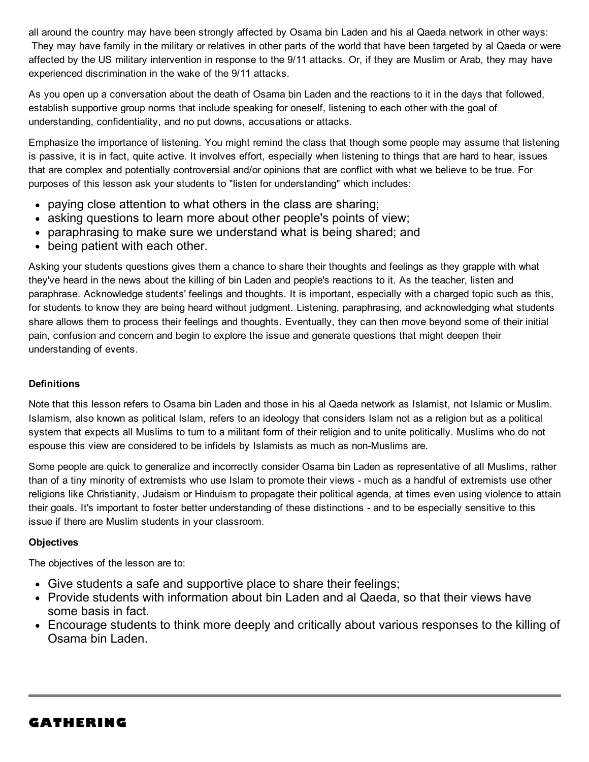all around the country may have been strongly affected by Osama bin Laden and his al Qaeda network in other ways: They may have family in the military or relatives in other parts of the world that have been targeted by al Qaeda or were affected by the US military intervention in response to the 9/11 attacks. Or, if they are Muslim or Arab, they may have experienced discrimination in the wake of the 9/11 attacks.

As you open up a conversation about the death of Osama bin Laden and the reactions to it in the days that followed, establish supportive group norms that include speaking for oneself, listening to each other with the goal of understanding, confidentiality, and no put downs, accusations or attacks.

Emphasize the importance of listening. You might remind the class that though some people may assume that listening is passive, it is in fact, quite active. It involves effort, especially when listening to things that are hard to hear, issues that are complex and potentially controversial and/or opinions that are conflict with what we believe to be true. For purposes of this lesson ask your students to "listen for understanding" which includes:

- paying close attention to what others in the class are sharing;
- asking questions to learn more about other people's points of view;
- paraphrasing to make sure we understand what is being shared; and
- being patient with each other.

Asking your students questions gives them a chance to share their thoughts and feelings as they grapple with what they've heard in the news about the killing of bin Laden and people's reactions to it. As the teacher, listen and paraphrase. Acknowledge students' feelings and thoughts. It is important, especially with a charged topic such as this, for students to know they are being heard without judgment. Listening, paraphrasing, and acknowledging what students share allows them to process their feelings and thoughts. Eventually, they can then move beyond some of their initial pain, confusion and concern and begin to explore the issue and generate questions that might deepen their understanding of events.

### **Definitions**

Note that this lesson refers to Osama bin Laden and those in his al Qaeda network as Islamist, not Islamic or Muslim. Islamism, also known as political Islam, refers to an ideology that considers Islam not as a religion but as a political system that expects all Muslims to turn to a militant form of their religion and to unite politically. Muslims who do not espouse this view are considered to be infidels by Islamists as much as non-Muslims are.

Some people are quick to generalize and incorrectly consider Osama bin Laden as representative of all Muslims, rather than of a tiny minority of extremists who use Islam to promote their views - much as a handful of extremists use other religions like Christianity, Judaism or Hinduism to propagate their political agenda, at times even using violence to attain their goals. It's important to foster better understanding of these distinctions - and to be especially sensitive to this issue if there are Muslim students in your classroom.

#### **Objectives**

The objectives of the lesson are to:

- Give students a safe and supportive place to share their feelings;
- Provide students with information about bin Laden and al Qaeda, so that their views have some basis in fact.
- Encourage students to think more deeply and critically about various responses to the killing of Osama bin Laden.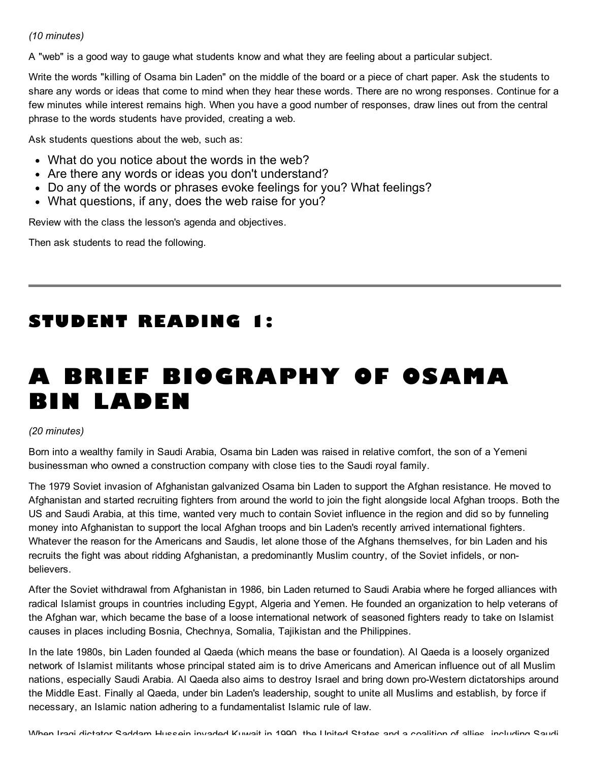#### *(10 minutes)*

A "web" is a good way to gauge what students know and what they are feeling about a particular subject.

Write the words "killing of Osama bin Laden" on the middle of the board or a piece of chart paper. Ask the students to share any words or ideas that come to mind when they hear these words. There are no wrong responses. Continue for a few minutes while interest remains high. When you have a good number of responses, draw lines out from the central phrase to the words students have provided, creating a web.

Ask students questions about the web, such as:

- What do you notice about the words in the web?
- Are there any words or ideas you don't understand?
- Do any of the words or phrases evoke feelings for you? What feelings?
- What questions, if any, does the web raise for you?

Review with the class the lesson's agenda and objectives.

Then ask students to read the following.

# STUDENT READING 1:

# A BRIEF BIOGRAPHY OF OSAMA BIN LADEN

#### *(20 minutes)*

Born into a wealthy family in Saudi Arabia, Osama bin Laden was raised in relative comfort, the son of a Yemeni businessman who owned a construction company with close ties to the Saudi royal family.

The 1979 Soviet invasion of Afghanistan galvanized Osama bin Laden to support the Afghan resistance. He moved to Afghanistan and started recruiting fighters from around the world to join the fight alongside local Afghan troops. Both the US and Saudi Arabia, at this time, wanted very much to contain Soviet influence in the region and did so by funneling money into Afghanistan to support the local Afghan troops and bin Laden's recently arrived international fighters. Whatever the reason for the Americans and Saudis, let alone those of the Afghans themselves, for bin Laden and his recruits the fight was about ridding Afghanistan, a predominantly Muslim country, of the Soviet infidels, or nonbelievers.

After the Soviet withdrawal from Afghanistan in 1986, bin Laden returned to Saudi Arabia where he forged alliances with radical Islamist groups in countries including Egypt, Algeria and Yemen. He founded an organization to help veterans of the Afghan war, which became the base of a loose international network of seasoned fighters ready to take on Islamist causes in places including Bosnia, Chechnya, Somalia, Tajikistan and the Philippines.

In the late 1980s, bin Laden founded al Qaeda (which means the base or foundation). Al Qaeda is a loosely organized network of Islamist militants whose principal stated aim is to drive Americans and American influence out of all Muslim nations, especially Saudi Arabia. Al Qaeda also aims to destroy Israel and bring down pro-Western dictatorships around the Middle East. Finally al Qaeda, under bin Laden's leadership, sought to unite all Muslims and establish, by force if necessary, an Islamic nation adhering to a fundamentalist Islamic rule of law.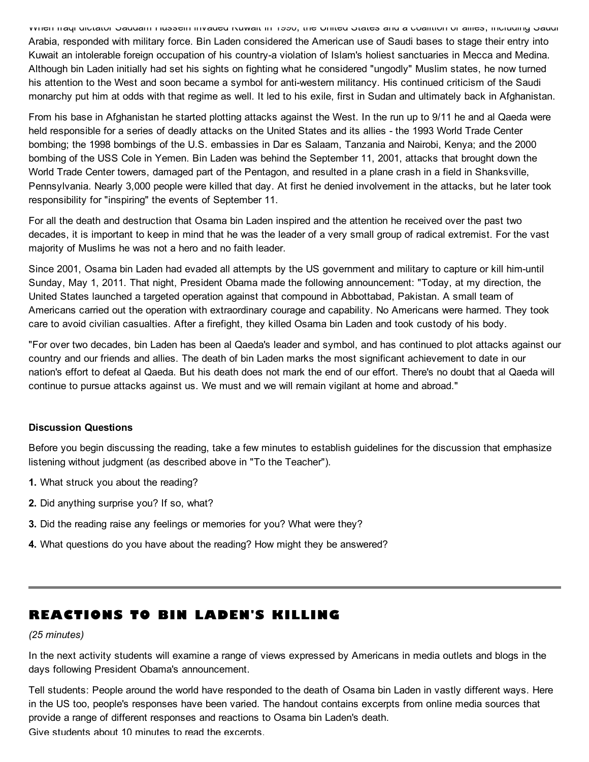When Iraqi dictator Saddam Hussein invaded Kuwait in 1990, the United States and a coalition of allies, including Saudi Arabia, responded with military force. Bin Laden considered the American use of Saudi bases to stage their entry into Kuwait an intolerable foreign occupation of his country-a violation of Islam's holiest sanctuaries in Mecca and Medina. Although bin Laden initially had set his sights on fighting what he considered "ungodly" Muslim states, he now turned his attention to the West and soon became a symbol for anti-western militancy. His continued criticism of the Saudi monarchy put him at odds with that regime as well. It led to his exile, first in Sudan and ultimately back in Afghanistan.

From his base in Afghanistan he started plotting attacks against the West. In the run up to 9/11 he and al Qaeda were held responsible for a series of deadly attacks on the United States and its allies - the 1993 World Trade Center bombing; the 1998 bombings of the U.S. embassies in Dar es Salaam, Tanzania and Nairobi, Kenya; and the 2000 bombing of the USS Cole in Yemen. Bin Laden was behind the September 11, 2001, attacks that brought down the World Trade Center towers, damaged part of the Pentagon, and resulted in a plane crash in a field in Shanksville, Pennsylvania. Nearly 3,000 people were killed that day. At first he denied involvement in the attacks, but he later took responsibility for "inspiring" the events of September 11.

For all the death and destruction that Osama bin Laden inspired and the attention he received over the past two decades, it is important to keep in mind that he was the leader of a very small group of radical extremist. For the vast majority of Muslims he was not a hero and no faith leader.

Since 2001, Osama bin Laden had evaded all attempts by the US government and military to capture or kill him-until Sunday, May 1, 2011. That night, President Obama made the following announcement: "Today, at my direction, the United States launched a targeted operation against that compound in Abbottabad, Pakistan. A small team of Americans carried out the operation with extraordinary courage and capability. No Americans were harmed. They took care to avoid civilian casualties. After a firefight, they killed Osama bin Laden and took custody of his body.

"For over two decades, bin Laden has been al Qaeda's leader and symbol, and has continued to plot attacks against our country and our friends and allies. The death of bin Laden marks the most significant achievement to date in our nation's effort to defeat al Qaeda. But his death does not mark the end of our effort. There's no doubt that al Qaeda will continue to pursue attacks against us. We must and we will remain vigilant at home and abroad."

#### Discussion Questions

Before you begin discussing the reading, take a few minutes to establish guidelines for the discussion that emphasize listening without judgment (as described above in "To the Teacher").

- 1. What struck you about the reading?
- 2. Did anything surprise you? If so, what?
- 3. Did the reading raise any feelings or memories for you? What were they?
- 4. What questions do you have about the reading? How might they be answered?

## REACTIONS TO BIN LADEN'S KILLING

#### *(25 minutes)*

In the next activity students will examine a range of views expressed by Americans in media outlets and blogs in the days following President Obama's announcement.

Tell students: People around the world have responded to the death of Osama bin Laden in vastly different ways. Here in the US too, people's responses have been varied. The handout contains excerpts from online media sources that provide a range of different responses and reactions to Osama bin Laden's death. Give students about 10 minutes to read the excerpts.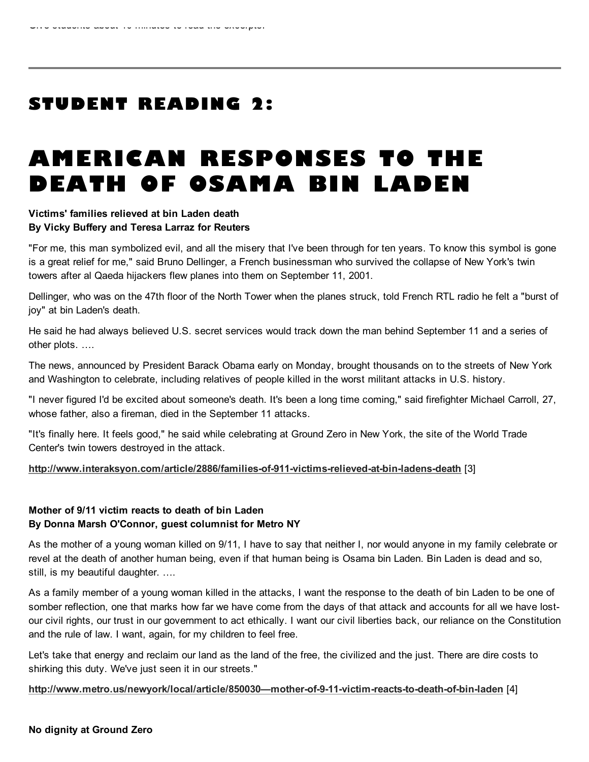# STUDENT READING 2:

# AMERICAN RESPONSES TO THE DEATH OF OSAMA BIN LADEN

#### Victims' families relieved at bin Laden death By Vicky Buffery and Teresa Larraz for Reuters

"For me, this man symbolized evil, and all the misery that I've been through for ten years. To know this symbol is gone is a great relief for me," said Bruno Dellinger, a French businessman who survived the collapse of New York's twin towers after al Qaeda hijackers flew planes into them on September 11, 2001.

Dellinger, who was on the 47th floor of the North Tower when the planes struck, told French RTL radio he felt a "burst of joy" at bin Laden's death.

He said he had always believed U.S. secret services would track down the man behind September 11 and a series of other plots. ….

The news, announced by President Barack Obama early on Monday, brought thousands on to the streets of New York and Washington to celebrate, including relatives of people killed in the worst militant attacks in U.S. history.

"I never figured I'd be excited about someone's death. It's been a long time coming," said firefighter Michael Carroll, 27, whose father, also a fireman, died in the September 11 attacks.

"It's finally here. It feels good," he said while celebrating at Ground Zero in New York, the site of the World Trade Center's twin towers destroyed in the attack.

#### <http://www.interaksyon.com/article/2886/families-of-911-victims-relieved-at-bin-ladens-death> [3]

#### Mother of 9/11 victim reacts to death of bin Laden By Donna Marsh O'Connor, guest columnist for Metro NY

As the mother of a young woman killed on 9/11, I have to say that neither I, nor would anyone in my family celebrate or revel at the death of another human being, even if that human being is Osama bin Laden. Bin Laden is dead and so, still, is my beautiful daughter. ….

As a family member of a young woman killed in the attacks, I want the response to the death of bin Laden to be one of somber reflection, one that marks how far we have come from the days of that attack and accounts for all we have lostour civil rights, our trust in our government to act ethically. I want our civil liberties back, our reliance on the Constitution and the rule of law. I want, again, for my children to feel free.

Let's take that energy and reclaim our land as the land of the free, the civilized and the just. There are dire costs to shirking this duty. We've just seen it in our streets."

[http://www.metro.us/newyork/local/article/850030—mother-of-9-11-victim-reacts-to-death-of-bin-laden](http://www.metro.us/newyork/local/article/850030%E2%80%94mother-of-9-11-victim-reacts-to-death-of-bin-laden) [4]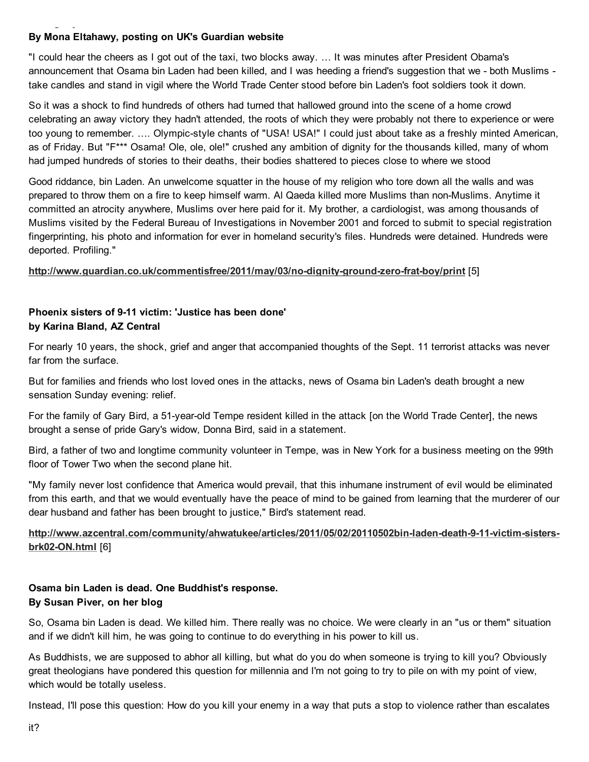### By Mona Eltahawy, posting on UK's Guardian website

No dignity at Ground Zero

"I could hear the cheers as I got out of the taxi, two blocks away. … It was minutes after President Obama's announcement that Osama bin Laden had been killed, and I was heeding a friend's suggestion that we - both Muslims take candles and stand in vigil where the World Trade Center stood before bin Laden's foot soldiers took it down.

So it was a shock to find hundreds of others had turned that hallowed ground into the scene of a home crowd celebrating an away victory they hadn't attended, the roots of which they were probably not there to experience or were too young to remember. …. Olympic-style chants of "USA! USA!" I could just about take as a freshly minted American, as of Friday. But "F<sup>\*\*\*</sup> Osama! Ole, ole, ole!" crushed any ambition of dignity for the thousands killed, many of whom had jumped hundreds of stories to their deaths, their bodies shattered to pieces close to where we stood

Good riddance, bin Laden. An unwelcome squatter in the house of my religion who tore down all the walls and was prepared to throw them on a fire to keep himself warm. Al Qaeda killed more Muslims than non-Muslims. Anytime it committed an atrocity anywhere, Muslims over here paid for it. My brother, a cardiologist, was among thousands of Muslims visited by the Federal Bureau of Investigations in November 2001 and forced to submit to special registration fingerprinting, his photo and information for ever in homeland security's files. Hundreds were detained. Hundreds were deported. Profiling."

#### <http://www.guardian.co.uk/commentisfree/2011/may/03/no-dignity-ground-zero-frat-boy/print> [5]

#### Phoenix sisters of 9-11 victim: 'Justice has been done' by Karina Bland, AZ Central

For nearly 10 years, the shock, grief and anger that accompanied thoughts of the Sept. 11 terrorist attacks was never far from the surface.

But for families and friends who lost loved ones in the attacks, news of Osama bin Laden's death brought a new sensation Sunday evening: relief.

For the family of Gary Bird, a 51-year-old Tempe resident killed in the attack [on the World Trade Center], the news brought a sense of pride Gary's widow, Donna Bird, said in a statement.

Bird, a father of two and longtime community volunteer in Tempe, was in New York for a business meeting on the 99th floor of Tower Two when the second plane hit.

"My family never lost confidence that America would prevail, that this inhumane instrument of evil would be eliminated from this earth, and that we would eventually have the peace of mind to be gained from learning that the murderer of our dear husband and father has been brought to justice," Bird's statement read.

[http://www.azcentral.com/community/ahwatukee/articles/2011/05/02/20110502bin-laden-death-9-11-victim-sisters](http://www.azcentral.com/community/ahwatukee/articles/2011/05/02/20110502bin-laden-death-9-11-victim-sisters-brk02-ON.html)brk02-ON.html [6]

#### Osama bin Laden is dead. One Buddhist's response. By Susan Piver, on her blog

So, Osama bin Laden is dead. We killed him. There really was no choice. We were clearly in an "us or them" situation and if we didn't kill him, he was going to continue to do everything in his power to kill us.

As Buddhists, we are supposed to abhor all killing, but what do you do when someone is trying to kill you? Obviously great theologians have pondered this question for millennia and I'm not going to try to pile on with my point of view, which would be totally useless.

Instead, I'll pose this question: How do you kill your enemy in a way that puts a stop to violence rather than escalates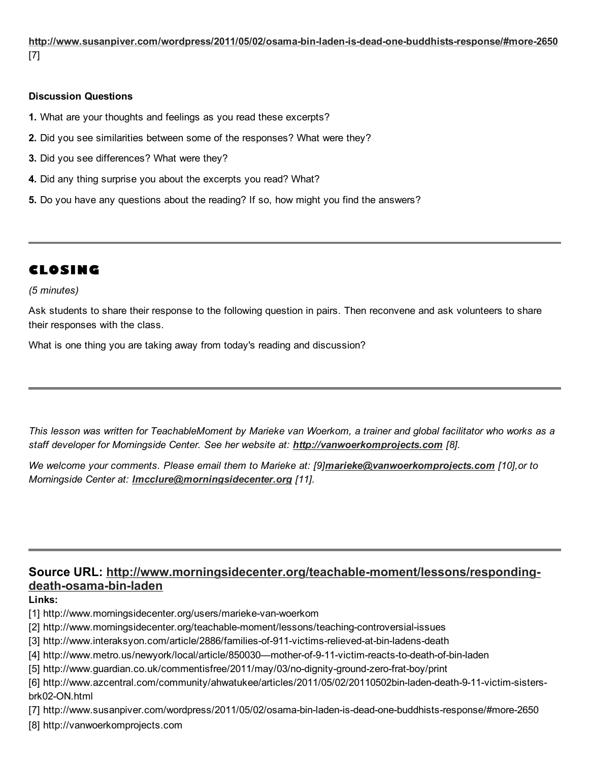<http://www.susanpiver.com/wordpress/2011/05/02/osama-bin-laden-is-dead-one-buddhists-response/#more-2650> [7]

#### Discussion Questions

- 1. What are your thoughts and feelings as you read these excerpts?
- 2. Did you see similarities between some of the responses? What were they?
- 3. Did you see differences? What were they?
- 4. Did any thing surprise you about the excerpts you read? What?
- 5. Do you have any questions about the reading? If so, how might you find the answers?

## CLOSING

#### *(5 minutes)*

Ask students to share their response to the following question in pairs. Then reconvene and ask volunteers to share their responses with the class.

What is one thing you are taking away from today's reading and discussion?

This lesson was written for TeachableMoment by Marieke van Woerkom, a trainer and global facilitator who works as a *staff developer for Morningside Center. See her website at: [http://vanwoerkomprojects.com](http://vanwoerkomprojects.com/) [8].*

*We welcome your comments. Please email them to Marieke at: [9][marieke@vanwoerkomprojects.com](mailto:marieke@vanwoerkomprojects.com) [10],or to Morningside Center at: [lmcclure@morningsidecenter.org](mailto:lmcclure@morningsidecenter.org) [11].*

### Source URL: [http://www.morningsidecenter.org/teachable-moment/lessons/responding](http://www.morningsidecenter.org/teachable-moment/lessons/responding-death-osama-bin-laden)death-osama-bin-laden

#### Links:

- [1] http://www.morningsidecenter.org/users/marieke-van-woerkom
- [2] http://www.morningsidecenter.org/teachable-moment/lessons/teaching-controversial-issues
- [3] http://www.interaksyon.com/article/2886/families-of-911-victims-relieved-at-bin-ladens-death
- [4] http://www.metro.us/newyork/local/article/850030—mother-of-9-11-victim-reacts-to-death-of-bin-laden
- [5] http://www.guardian.co.uk/commentisfree/2011/may/03/no-dignity-ground-zero-frat-boy/print
- [6] http://www.azcentral.com/community/ahwatukee/articles/2011/05/02/20110502bin-laden-death-9-11-victim-sistersbrk02-ON.html

[7] http://www.susanpiver.com/wordpress/2011/05/02/osama-bin-laden-is-dead-one-buddhists-response/#more-2650

[8] http://vanwoerkomprojects.com